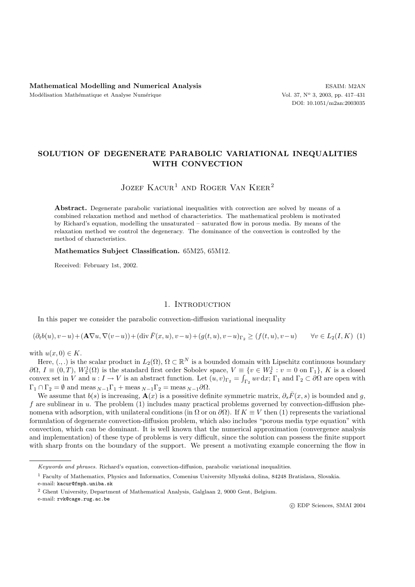# **SOLUTION OF DEGENERATE PARABOLIC VARIATIONAL INEQUALITIES WITH CONVECTION**

## JOZEF  $KACUR<sup>1</sup>$  and ROGER VAN KEER<sup>2</sup>

Abstract. Degenerate parabolic variational inequalities with convection are solved by means of a combined relaxation method and method of characteristics. The mathematical problem is motivated by Richard's equation, modelling the unsaturated – saturated flow in porous media. By means of the relaxation method we control the degeneracy. The dominance of the convection is controlled by the method of characteristics.

**Mathematics Subject Classification.** 65M25, 65M12.

Received: February 1st, 2002.

## 1. INTRODUCTION

In this paper we consider the parabolic convection-diffusion variational inequality

$$
(\partial_t b(u), v - u) + (\mathbf{A} \nabla u, \nabla (v - u)) + (\text{div } \bar{F}(x, u), v - u) + (g(t, u), v - u)_{\Gamma_2} \ge (f(t, u), v - u) \qquad \forall v \in L_2(I, K) \tag{1}
$$

with  $u(x, 0) \in K$ .

Here,  $(.,.)$  is the scalar product in  $L_2(\Omega)$ ,  $\Omega \subset \mathbb{R}^N$  is a bounded domain with Lipschitz continuous boundary  $\partial\Omega, I \equiv (0,T), W_2^1(\Omega)$  is the standard first order Sobolev space,  $V \equiv \{v \in W_2^1 : v = 0 \text{ on } \Gamma_1\}, K$  is a closed convex set in  $V$  and  $v : I \to V$  is an abstract function. Let  $(v, v)_P = \int v v \, dv$ . E, and  $\Gamma_2 \subset \partial\Omega$  are onen with convex set in V and  $u: I \to V$  is an abstract function. Let  $(u, v)_{\Gamma_2} = \int_{\Gamma_2} uv \, dx$ ;  $\Gamma_1$  and  $\Gamma_2 \subset \partial \Omega$  are open with  $\Gamma_1 \cap \Gamma_2 = \emptyset$  and meas  $_{N-1}\Gamma_1 + \text{meas }_{N-1}\Gamma_2 = \text{meas }_{N-1}\partial\Omega$ .

We assume that  $b(s)$  is increasing,  $\mathbf{A}(x)$  is a possitive definite symmetric matrix,  $\partial_s \bar{F}(x, s)$  is bounded and g, f are sublinear in  $u$ . The problem  $(1)$  includes many practical problems governed by convection-diffusion phenomena with adsorption, with unilateral conditions (in  $\Omega$  or on  $\partial\Omega$ ). If  $K \equiv V$  then (1) represents the variational formulation of degenerate convection-diffusion problem, which also includes "porous media type equation" with convection, which can be dominant. It is well known that the numerical approximation (convergence analysis and implementation) of these type of problems is very difficult, since the solution can possess the finite support with sharp fronts on the boundary of the support. We present a motivating example concerning the flow in

*Keywords and phrases.* Richard's equation, convection-diffusion, parabolic variational inequalities.

<sup>&</sup>lt;sup>1</sup> Faculty of Mathematics, Physics and Informatics, Comenius University Mlynská dolina, 84248 Bratislava, Slovakia.

e-mail: kacur@fmph.uniba.sk

<sup>2</sup> Ghent University, Department of Mathematical Analysis, Galglaan 2, 9000 Gent, Belgium.

e-mail: rvk@cage.rug.ac.be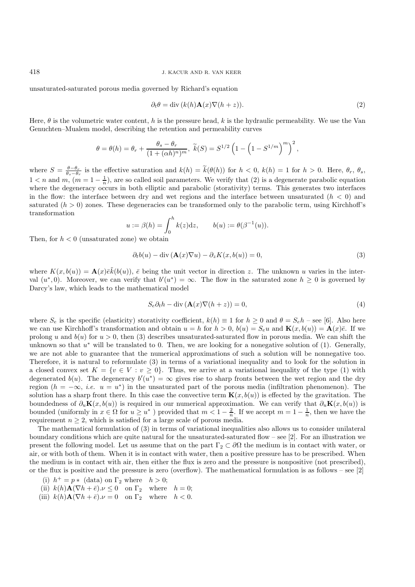unsaturated-saturated porous media governed by Richard's equation

$$
\partial_t \theta = \text{div}\,(k(h)\mathbf{A}(x)\nabla(h+z)).\tag{2}
$$

Here,  $\theta$  is the volumetric water content, h is the pressure head, k is the hydraulic permeability. We use the Van Genuchten–Mualem model, describing the retention and permeability curves

$$
\theta = \theta(h) = \theta_r + \frac{\theta_s - \theta_r}{(1 + (\alpha h)^n)^m}, \ \widetilde{k}(S) = S^{1/2} \left(1 - \left(1 - S^{1/m}\right)^m\right)^2,
$$

where  $S = \frac{\theta - \theta_r}{\theta_s - \theta_r}$  is the effective saturation and  $k(h) = \tilde{k}(\theta(h))$  for  $h < 0$ ,  $k(h) = 1$  for  $h > 0$ . Here,  $\theta_r$ ,  $\theta_s$ ,  $1 < n$  and  $m$ ,  $(m = 1 - \frac{1}{n})$ , are so called soil parameters. We verify that (2) is a degenerate parabolic equation<br>where the degeneracy occurs in both elliptic and parabolic (storativity) terms. This generates two interf where the degeneracy occurs in both elliptic and parabolic (storativity) terms. This generates two interfaces in the flow: the interface between dry and wet regions and the interface between unsaturated  $(h < 0)$  and saturated  $(h > 0)$  zones. These degeneracies can be transformed only to the parabolic term, using Kirchhoff's transformation

$$
u := \beta(h) = \int_0^h k(z)dz
$$
,  $b(u) := \theta(\beta^{-1}(u))$ .

Then, for  $h < 0$  (unsaturated zone) we obtain

$$
\partial_t b(u) - \operatorname{div} (\mathbf{A}(x)\nabla u) - \partial_z K(x, b(u)) = 0,\tag{3}
$$

where  $K(x, b(u)) = \mathbf{A}(x)\bar{e}\tilde{k}(b(u)), \bar{e}$  being the unit vector in direction z. The unknown u varies in the inter-<br>y<sup>al</sup>  $(u^*, 0)$ . Moreover, we can verify that  $b'(u^*) = \infty$ . The flow in the saturated zone  $b > 0$  is governed val  $(u^*,0)$ . Moreover, we can verify that  $b'(u^*) = \infty$ . The flow in the saturated zone  $h \geq 0$  is governed by<br>Darcy's law, which leads to the mathematical model Darcy's law, which leads to the mathematical model

$$
S_e \partial_t h - \text{div} \left( \mathbf{A}(x) \nabla (h+z) \right) = 0,\tag{4}
$$

where  $S_e$  is the specific (elasticity) storativity coefficient,  $k(h) \equiv 1$  for  $h \ge 0$  and  $\theta = S_e h$  – see [6]. Also here we can use Kirchhoff's transformation and obtain  $u = h$  for  $h > 0$ ,  $b(u) = S_e u$  and  $\mathbf{K}(x, b(u)) = \mathbf{A}(x)\overline{e}$ . If we prolong u and  $b(u)$  for  $u > 0$ , then (3) describes unsaturated-saturated flow in porous media. We can shift the unknown so that  $u^*$  will be translated to 0. Then, we are looking for a nonegative solution of (1). Generally, we are not able to guarantee that the numerical approximations of such a solution will be nonnegative too. Therefore, it is natural to reformulate (3) in terms of a variational inequality and to look for the solution in a closed convex set  $K = \{v \in V : v \ge 0\}$ . Thus, we arrive at a variational inequality of the type (1) with degenerated  $b(u)$ . The degeneracy  $b'(u^*) = \infty$  gives rise to sharp fronts between the wet region and the dry region  $(h = -\infty, i.e. u = u^*)$  in the unsaturated part of the porous media (infiltration phenomenon). The solution has a sharp front there. In this case the convective term  $\mathbf{K}(x, b(u))$  is effected by the gravitation. The boundedness of  $\partial_u$ **K** $(x, b(u))$  is required in our numerical approximation. We can verify that  $\partial_u$ **K** $(x, b(u))$  is bounded (uniformly in  $x \in \Omega$  for  $u \ge u^*$ ) provided that  $m < 1 - \frac{2}{n}$ . If we accept  $m = 1 - \frac{1}{n}$ , then we have the requirement  $n \ge 2$ , which is satisfied for a large scale of porous media requirement  $n \geq 2$ , which is satisfied for a large scale of porous media.

The mathematical formulation of (3) in terms of variational inequalities also allows us to consider unilateral boundary conditions which are quite natural for the unsaturated-saturated flow – see [2]. For an illustration we present the following model. Let us assume that on the part  $\Gamma_2 \subset \partial\Omega$  the medium is in contact with water, or air, or with both of them. When it is in contact with water, then a positive pressure has to be prescribed. When the medium is in contact with air, then either the flux is zero and the pressure is nonpositive (not prescribed), or the flux is positive and the pressure is zero (overflow). The mathematical formulation is as follows – see  $[2]$ 

- (i)  $h^+ = p *$  (data) on  $\Gamma_2$  where  $h > 0$ ;
- (ii)  $k(h)\mathbf{A}(\nabla h + \bar{e}) \cdot \nu \leq 0$  on  $\Gamma_2$  where  $h = 0$ ;<br>(iii)  $k(h)\mathbf{A}(\nabla h + \bar{e}) \cdot \nu = 0$  on  $\Gamma_2$  where  $h \geq 0$
- (iii)  $k(h)\mathbf{A}(\nabla h + \bar{e}).\nu = 0$  on  $\Gamma_2$  where  $h < 0$ .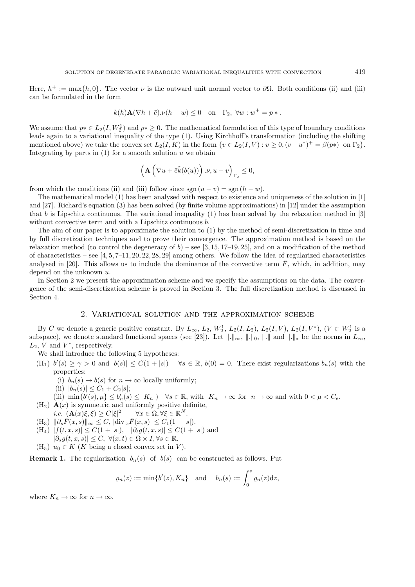$$
k(h)\mathbf{A}(\nabla h + \bar{e}) \cdot \nu(h - w) \le 0 \quad \text{on} \quad \Gamma_2, \ \forall w : w^+ = p * .
$$

We assume that  $p * \in L_2(I, W_2^1)$  and  $p * \geq 0$ . The mathematical formulation of this type of boundary conditions leads again to a variational inequality of the type (1). Using Kirchhoff's transformation (including the shi leads again to a variational inequality of the type (1). Using Kirchhoff's transformation (including the shifting mentioned above) we take the convex set  $L_2(I, K)$  in the form  $\{v \in L_2(I, V) : v \geq 0, (v + u^*)^+ = \beta(p*) \text{ on } \Gamma_2\}.$ Integrating by parts in  $(1)$  for a smooth solution u we obtain

$$
\left(\mathbf{A}\left(\nabla u+\bar{e}\tilde{k}(b(u))\right).\nu,u-v\right)_{\Gamma_2}\leq 0,
$$

from which the conditions (ii) and (iii) follow since  $sgn(u - v) = sgn(h - w)$ .

The mathematical model (1) has been analysed with respect to existence and uniqueness of the solution in [1] and [27]. Richard's equation (3) has been solved (by finite volume approximations) in [12] under the assumption that b is Lipschitz continuous. The variational inequality  $(1)$  has been solved by the relaxation method in [3] without convective term and with a Lipschitz continuous  $b$ .

The aim of our paper is to approximate the solution to (1) by the method of semi-discretization in time and by full discretization techniques and to prove their convergence. The approximation method is based on the relaxation method (to control the degeneracy of  $b$ ) – see [3, 15, 17–19, 25], and on a modification of the method of characteristics – see  $[4, 5, 7-11, 20, 22, 28, 29]$  among others. We follow the idea of regularized characteristics analysed in [20]. This allows us to include the dominance of the convective term  $\bar{F}$ , which, in addition, may depend on the unknown  $u$ .

In Section 2 we present the approximation scheme and we specify the assumptions on the data. The convergence of the semi-discretization scheme is proved in Section 3. The full discretization method is discussed in Section 4.

#### 2. Variational solution and the approximation scheme

By C we denote a generic positive constant. By  $L_{\infty}$ ,  $L_2$ ,  $W_2^1$ ,  $L_2(I, L_2)$ ,  $L_2(I, V)$ ,  $L_2(I, V^*)$ ,  $(V \subset W_2^1$  is a consequence of the distance of  $(V \subset W_2^1)$  is a consequence of  $V$ subspace), we denote standard functional spaces (see [23]). Let  $\|\cdot\|_{\infty}$ ,  $\|\cdot\|_{0}$ ,  $\|\cdot\|_{\ast}$  be the norms in  $L_{\infty}$ ,  $L_2$ , V and  $V^*$ , respectively.

We shall introduce the following 5 hypotheses:

- $(H_1)$   $b'(s) \ge \gamma > 0$  and  $|b(s)| \le C(1+|s|)$   $\forall s \in \mathbb{R}$ ,  $b(0) = 0$ . There exist regularizations  $b_n(s)$  with the properties:
	- (i)  $b_n(s) \to b(s)$  for  $n \to \infty$  locally uniformly;
	- (ii)  $|b_n(s)| \leq C_1 + C_2|s|;$
	- (iii)  $\min\{\theta'(s), \mu\} \le b_n'(s) \le K_n$ )  $\forall s \in \mathbb{R}$ , with  $K_n \to \infty$  for  $n \to \infty$  and with  $0 < \mu < C_e$ .<br>
	A(x) is symmetric and uniformly positive definite
- $(H_2)$   $\mathbf{A}(x)$  is symmetric and uniformly positive definite, *i.e.*  $(\mathbf{A}(x)\xi,\xi) \geq C|\xi|^2$  $\forall x \in \Omega, \forall \xi \in \mathbb{R}^N.$
- $(H_3) \| \partial_s \bar{F}(x,s) \|_{\infty} \leq C, |\text{div}_x \bar{F}(x,s)| \leq C_1(1+|s|).$
- $(H_4)$   $|f(t, x, s)| \leq C(1+|s|), \quad |\partial_t g(t, x, s)| \leq C(1+|s|)$  and  $|\partial_s g(t, x, s)| \leq C, \ \forall (x, t) \in \Omega \times I, \forall s \in \mathbb{R}.$
- (H<sub>5</sub>)  $u_0 \in K$  (K being a closed convex set in V).

**Remark 1.** The regularization  $b_n(s)$  of  $b(s)$  can be constructed as follows. Put

$$
\varrho_n(z) := \min\{b'(z), K_n\} \quad \text{and} \quad b_n(s) := \int_0^s \varrho_n(z) \mathrm{d} z,
$$

where  $K_n \to \infty$  for  $n \to \infty$ .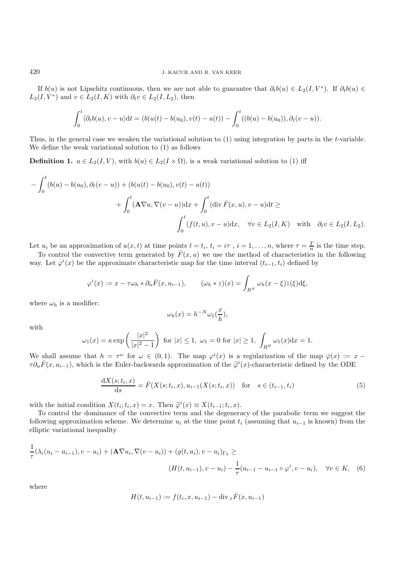If  $b(u)$  is not Lipschitz continuous, then we are not able to guarantee that  $\partial_t b(u) \in L_2(I, V^*)$ . If  $\partial_t b(u) \in$  $L_2(I, V^*)$  and  $v \in L_2(I, K)$  with  $\partial_t v \in L_2(I, L_2)$ , then

$$
\int_0^t \langle \partial_t b(u), v - u \rangle dt = (b(u(t) - b(u_0), v(t) - u(t)) - \int_0^t ((b(u) - b(u_0)), \partial_t (v - u)).
$$

Thus, in the general case we weaken the variational solution to (1) using integration by parts in the t-variable. We define the weak variational solution to (1) as follows

**Definition 1.**  $u \in L_2(I, V)$ , with  $b(u) \in L_2(I \times \Omega)$ , is a weak variational solution to (1) iff

$$
-\int_0^t (b(u) - b(u_0), \partial_t (v - u)) + (b(u(t) - b(u_0), v(t) - u(t)))
$$
  
+ 
$$
\int_0^t (\mathbf{A} \nabla u, \nabla (v - u)) dx + \int_0^t (\text{div } \overline{F}(x, u), v - u) dt \ge
$$
  

$$
\int_0^t (f(t, u), v - u) dx, \quad \forall v \in L_2(I, K) \quad \text{with} \quad \partial_t v \in L_2(I, L_2).
$$

Let  $u_i$  be an approximation of  $u(x, t)$  at time points  $t = t_i$ ,  $t_i = i\tau$ ,  $i = 1, \ldots, n$ , where  $\tau = \frac{T}{n}$  is the time step.<br>To control the convective term concerted by  $\bar{F}(x, u)$  we use the method of characteristics in th To control the convective term generated by  $\bar{F}(x, u)$  we use the method of characteristics in the following

way. Let  $\varphi^i(x)$  be the approximate characteristic map for the time interval  $(t_{i-1}, t_i)$  defined by

$$
\varphi^i(x) := x - \tau \omega_h * \partial_u \bar{F}(x, u_{i-1}), \qquad (\omega_h * z)(x) = \int_{R^N} \omega_h(x - \xi) z(\xi) d\xi,
$$

where  $\omega_h$  is a modifier:

$$
\omega_h(x) = h^{-N} \omega_1(\frac{x}{h}),
$$

with

$$
\omega_1(x) = \kappa \exp\left(\frac{|x|^2}{|x|^2 - 1}\right) \text{ for } |x| \le 1, \ \omega_1 = 0 \text{ for } |x| \ge 1, \ \int_{R^N} \omega_1(x) \mathrm{d}x = 1.
$$

We shall assume that  $h = \tau^{\omega}$  for  $\omega \in (0, 1)$ . The map  $\varphi^{i}(x)$  is a regularization of the map  $\bar{\varphi}(x) := x - \tau \partial \bar{F}(x, u, \tau)$  which is the Euler-backwards approximation of the  $\tilde{\varphi}^{i}(x)$ -characteristic defined by  $\tau \partial_u \bar{F}(x, u_{i-1})$ , which is the Euler-backwards approximation of the  $\tilde{\varphi}^i(x)$ -characteristic defined by the ODE

$$
\frac{dX(s;t_i,x)}{ds} = \bar{F}(X(s;t_i,x),u_{i-1}(X(s;t_i,x)) \text{ for } s \in (t_{i-1},t_i)
$$
\n(5)

with the initial condition  $X(t_i; t_i, x) = x$ . Then  $\widetilde{\varphi}^i(x) \equiv X(t_{i-1}; t_i, x)$ .<br>To control the dominance of the convective term and the degeneration

To control the dominance of the convective term and the degeneracy of the parabolic term we suggest the following approximation scheme. We determine  $u_i$  at the time point  $t_i$  (assuming that  $u_{i-1}$  is known) from the elliptic variational inequality

$$
\frac{1}{\tau}(\lambda_i(u_i - u_{i-1}), v - u_i) + (\mathbf{A}\nabla u_i, \nabla(v - u_i)) + (g(t, u_i), v - u_i)_{\Gamma_2} \ge
$$
\n
$$
(H(t, u_{i-1}), v - u_i) - \frac{1}{\tau}(u_{i-1} - u_{i-1} \circ \varphi^i, v - u_i), \quad \forall v \in K, \quad (6)
$$

where

$$
H(t, u_{i-1}) := f(t_i, x, u_{i-1}) - \text{div}_x \bar{F}(x, u_{i-1})
$$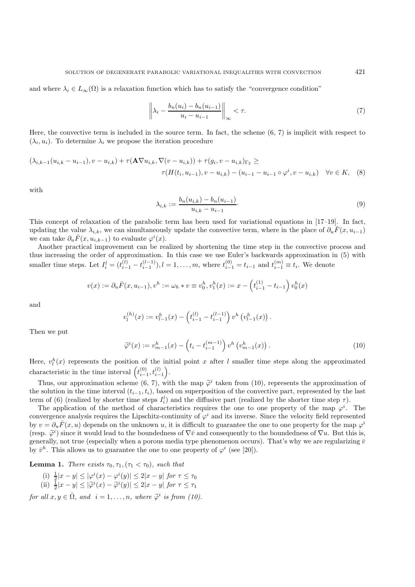and where  $\lambda_i \in L_{\infty}(\Omega)$  is a relaxation function which has to satisfy the "convergence condition"

$$
\left\|\lambda_i - \frac{b_n(u_i) - b_n(u_{i-1})}{u_i - u_{i-1}}\right\|_{\infty} < \tau.
$$
\n
$$
(7)
$$

Here, the convective term is included in the source term. In fact, the scheme (6, 7) is implicit with respect to  $(\lambda_i, u_i)$ . To determine  $\lambda_i$  we propose the iteration procedure

$$
(\lambda_{i,k-1}(u_{i,k}-u_{i-1}),v-u_{i,k})+\tau(\mathbf{A}\nabla u_{i,k},\nabla(v-u_{i,k}))+\tau(g_i,v-u_{i,k})_{\Gamma_2}\geq \tau(H(t_i,u_{i-1}),v-u_{i,k})-(u_{i-1}-u_{i-1}\circ\varphi^i,v-u_{i,k}) \quad \forall v\in K,\tag{8}
$$

with

$$
\lambda_{i,k} := \frac{b_n(u_{i,k}) - b_n(u_{i-1})}{u_{i,k} - u_{i-1}}.
$$
\n(9)

This concept of relaxation of the parabolic term has been used for variational equations in [17–19]. In fact, updating the value  $\lambda_{i,k}$ , we can simultaneously update the convective term, where in the place of  $\partial_u F(x, u_{i-1})$ we can take  $\partial_u \bar{F}(x, u_{i,k-1})$  to evaluate  $\varphi^i(x)$ .<br>Another practical improvement can be re-

Another practical improvement can be realized by shortening the time step in the convective process and thus increasing the order of approximation. In this case we use Euler's backwards approximation in (5) with smaller time steps. Let  $I_i^l = (t_{i-1}^{(l)} - t_{i-1}^{(l-1)}), l = 1, \ldots, m$ , where  $t_{i-1}^{(0)} = t_{i-1}$  and  $t_{i-1}^{(m)} \equiv t_i$ . We denote

$$
v(x) := \partial_u \overline{F}(x, u_{i-1}), v^h := \omega_h * v \equiv v_0^h, v_1^h(x) := x - \left(t_{i-1}^{(1)} - t_{i-1}\right) v_0^h(x)
$$

and

$$
v_l^{(h)}(x) := v_{l-1}^h(x) - \left(t_{i-1}^{(l)} - t_{i-1}^{(l-1)}\right) v^h \left(v_{l-1}^h(x)\right).
$$

Then we put

$$
\widetilde{\varphi}^{i}(x) := v_{m-1}^{h}(x) - \left(t_{i} - t_{i-1}^{(m-1)}\right) v^{h}\left(v_{m-1}^{h}(x)\right). \tag{10}
$$

Here,  $v_l^h(x)$  represents the position of the initial point x after l smaller time steps along the approximated characteristic in the time interval  $\left(t\right)$  $\sum_{i=1}^{(0)}$ ,  $t_{i-1}^{(l)}$ .

Thus, our approximation scheme  $(6, 7)$ , with the map  $\tilde{\varphi}^i$  taken from (10), represents the approximation of equation in the time interval  $(t_1, t_1)$  hased on superposition of the convective part, represented by the the solution in the time interval  $(t_{i-1}, t_i)$ , based on superposition of the convective part, represented by the last term of (6) (realized by shorter time steps  $I_i^l$ ) and the diffusive part (realized by the shorter time step  $\tau$ ).<br>The application of the method of characteristics requires the one to one property of the map  $a^i$ .

The application of the method of characteristics requires the one to one property of the map  $\varphi^i$ . The wegness requires the Linschitz-continuity of  $\varphi^i$  and its inverse. Since the velocity field represented convergence analysis requires the Lipschitz-continuity of  $\varphi^i$  and its inverse. Since the velocity field represented by  $v = \partial_u \bar{F}(x, u)$  depends on the unknown u, it is difficult to guarantee the one to one property for the map  $\varphi^i$ (resp.  $\tilde{\varphi}^i$ ) since it would lead to the boundedness of  $\nabla \bar{v}$  and consequently to the boundedness of  $\nabla u$ . But this is,<br>generally not true (especially when a porous media type phenomenon occurs). That's why w generally, not true (especially when a porous media type phenomenon occurs). That's why we are regularizing  $\bar{v}$ by  $\bar{v}^h$ . This allows us to guarantee the one to one property of  $\varphi^i$  (see [20]).

**Lemma 1.** *There exists*  $\tau_0, \tau_1, (\tau_1 < \tau_0)$ *, such that* 

- (i)  $\frac{1}{2}|x-y| \le |\varphi^{i}(x) \varphi^{i}(y)| \le 2|x-y|$  for  $\tau \le \tau_0$ <br>(ii)  $\frac{1}{2}|x-y| \le |\widetilde{\varphi}^{i}(x) \widetilde{\varphi}^{i}(y)| \le 2|x-y|$  for  $\tau \le \tau_1$
- 

*for all*  $x, y \in \overline{\Omega}$ *, and*  $i = 1, ..., n$ *, where*  $\widetilde{\varphi}^i$  *is from (10).*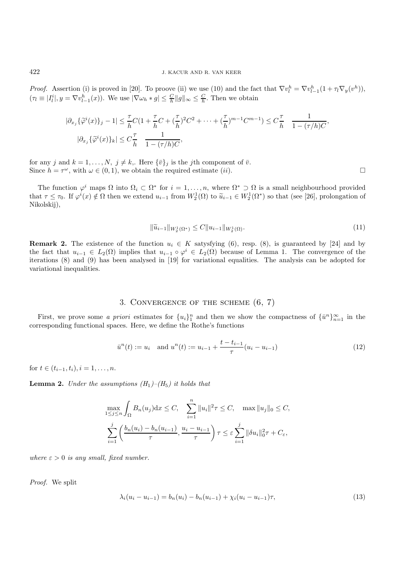*Proof.* Assertion (i) is proved in [20]. To proove (ii) we use (10) and the fact that  $\nabla v_l^h = \nabla v_{l-1}^h (1 + \tau_l \nabla_y (v^h)),$ <br> $\begin{bmatrix} (-1)^{l-1} & \nabla \psi_l^h \end{bmatrix}$  (a)),  $W_l$  we  $|\nabla \psi_l| \leq C$  Then we obtain  $(\tau_l \equiv |I_l^i|, y = \nabla v_{l-1}^h(x))$ . We use  $|\nabla \omega_h * g| \leq \frac{C}{h} ||g||_{\infty} \leq \frac{C}{h}$ . Then we obtain

$$
|\partial_{x_j} \{\widetilde{\varphi}^i(x)\}_j - 1| \leq \frac{\tau}{h} C (1 + \frac{\tau}{h}C + (\frac{\tau}{h})^2 C^2 + \dots + (\frac{\tau}{h})^{m-1} C^{m-1}) \leq C \frac{\tau}{h} \frac{1}{1 - (\tau/h)C},
$$
  

$$
|\partial_{x_j} \{\widetilde{\varphi}^i(x)\}_k| \leq C \frac{\tau}{h} \frac{1}{1 - (\tau/h)C},
$$

for any j and  $k = 1, \ldots, N, j \neq k$ . Here  $\{\bar{v}\}_j$  is the j<sup>th</sup> component of  $\bar{v}$ . Since  $h = \tau^{\omega}$ , with  $\omega \in (0, 1)$ , we obtain the required estimate *(ii)*.

The function  $\varphi^i$  maps  $\Omega$  into  $\Omega_i \subset \Omega^*$  for  $i = 1, \ldots, n$ , where  $\Omega^* \supset \Omega$  is a small neighbourhood provided that  $\tau \leq \tau_0$ . If  $\varphi^i(x) \notin \Omega$  then we extend  $u_{i-1}$  from  $W_2^1(\Omega)$  to  $\widetilde{u}_{i-1} \in W_2^1(\Omega^*)$  so that (see [26], prolongation of Nikolskii) Nikolskij),

$$
\|\widetilde{u}_{i-1}\|_{W_2^1(\Omega^*)} \le C \|u_{i-1}\|_{W_2^1(\Omega)}.\tag{11}
$$

**Remark 2.** The existence of the function  $u_i \in K$  satysfying (6), resp. (8), is guaranteed by [24] and by the fact that  $u_{i-1} \in L_2(\Omega)$  implies that  $u_{i-1} \circ \varphi^i \in L_2(\Omega)$  because of Lemma 1. The convergence of the iterations (8) and (9) has been analysed in [19] for variational equalities. The analysis can be adopted for variational inequalities.

## 3. Convergence of the scheme (6, 7)

First, we prove some *a priori* estimates for  $\{u_i\}_{i=1}^n$  and then we show the compactness of  $\{\bar{u}^n\}_{n=1}^\infty$  in the responding functional spaces. Here we define the Bothe's functions corresponding functional spaces. Here, we define the Rothe's functions

$$
\bar{u}^{n}(t) := u_{i} \quad \text{and } u^{n}(t) := u_{i-1} + \frac{t - t_{i-1}}{\tau}(u_{i} - u_{i-1})
$$
\n(12)

for  $t \in (t_{i-1}, t_i), i = 1, \ldots, n$ .

**Lemma 2.** *Under the assumptions*  $(H_1)$ – $(H_5)$  *it holds that* 

$$
\max_{1 \le j \le n} \int_{\Omega} B_n(u_j) dx \le C, \quad \sum_{i=1}^n \|u_i\|^2 \tau \le C, \quad \max_{i \in \mathbb{N}} \|u_j\|_0 \le C,
$$

$$
\sum_{i=1}^j \left( \frac{b_n(u_i) - b_n(u_{i-1})}{\tau}, \frac{u_i - u_{i-1}}{\tau} \right) \tau \le \varepsilon \sum_{i=1}^j \|\delta u_i\|_0^2 \tau + C_{\varepsilon},
$$

*where*  $\varepsilon > 0$  *is any small, fixed number.* 

*Proof.* We split

$$
\lambda_i(u_i - u_{i-1}) = b_n(u_i) - b_n(u_{i-1}) + \chi_i(u_i - u_{i-1})\tau,
$$
\n(13)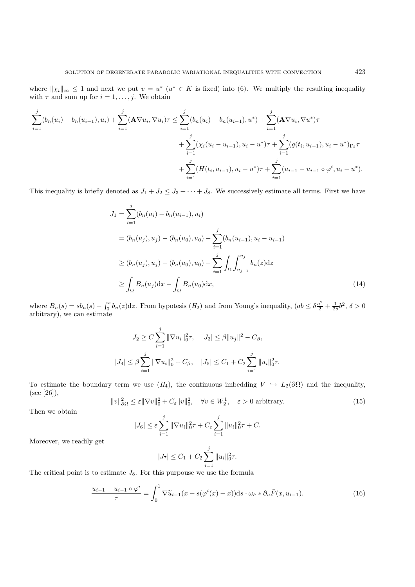where  $\|\chi_i\|_{\infty} \leq 1$  and next we put  $v = u^*$  ( $u^* \in K$  is fixed) into (6). We multiply the resulting inequality with  $\tau$  and sum up for  $i = 1, \ldots, j$ . We obtain

$$
\sum_{i=1}^{j} (b_n(u_i) - b_n(u_{i-1}), u_i) + \sum_{i=1}^{j} (\mathbf{A} \nabla u_i, \nabla u_i) \tau \leq \sum_{i=1}^{j} (b_n(u_i) - b_n(u_{i-1}), u^*) + \sum_{i=1}^{j} (\mathbf{A} \nabla u_i, \nabla u^*) \tau \n+ \sum_{i=1}^{j} (\chi_i(u_i - u_{i-1}), u_i - u^*) \tau + \sum_{i=1}^{j} (g(t_i, u_{i-1}), u_i - u^*)_{\Gamma_2} \tau \n+ \sum_{i=1}^{j} (H(t_i, u_{i-1}), u_i - u^*) \tau + \sum_{i=1}^{j} (u_{i-1} - u_{i-1} \circ \varphi^i, u_i - u^*).
$$

This inequality is briefly denoted as  $J_1 + J_2 \leq J_3 + \cdots + J_8$ . We successively estimate all terms. First we have

$$
J_1 = \sum_{i=1}^{j} (b_n(u_i) - b_n(u_{i-1}), u_i)
$$
  
=  $(b_n(u_j), u_j) - (b_n(u_0), u_0) - \sum_{i=1}^{j} (b_n(u_{i-1}), u_i - u_{i-1})$   
 $\ge (b_n(u_j), u_j) - (b_n(u_0), u_0) - \sum_{i=1}^{j} \int_{\Omega} \int_{u_{j-1}}^{u_j} b_n(z) dz$   
 $\ge \int_{\Omega} B_n(u_j) dx - \int_{\Omega} B_n(u_0) dx,$  (14)

where  $B_n(s) = sb_n(s) - \int_0^s b_n(z)dz$ . From hypotesis  $(H_2)$  and from Young's inequality,  $(ab \leq \delta \frac{a^2}{2} + \frac{1}{2\delta}b^2, \delta > 0$ arbitrary), we can estimate

$$
J_2 \ge C \sum_{i=1}^j \|\nabla u_i\|_0^2 \tau, \quad |J_3| \le \beta \|u_j\|^2 - C_\beta,
$$
  

$$
|J_4| \le \beta \sum_{i=1}^j \|\nabla u_i\|_0^2 + C_\beta, \quad |J_5| \le C_1 + C_2 \sum_{i=1}^j \|u_i\|_0^2 \tau.
$$

To estimate the boundary term we use  $(H_4)$ , the continuous imbedding  $V \hookrightarrow L_2(\partial\Omega)$  and the inequality, (see [26]),

 $||v||_{\partial\Omega}^2 \leq \varepsilon ||\nabla v||_0^2 + C_{\varepsilon} ||v||_0^2, \quad \forall v \in W_2^1, \quad \varepsilon > 0 \text{ arbitrary.}$ (15)

Then we obtain

$$
|J_6| \le \varepsilon \sum_{i=1}^j \|\nabla u_i\|_0^2 \tau + C_{\varepsilon} \sum_{i=1}^j \|u_i\|_0^2 \tau + C.
$$

Moreover, we readily get

$$
|J_7| \leq C_1 + C_2 \sum_{i=1}^j \|u_i\|_0^2 \tau.
$$

The critical point is to estimate  $J_8$ . For this purpouse we use the formula

$$
\frac{u_{i-1} - u_{i-1} \circ \varphi^i}{\tau} = \int_0^1 \nabla \widetilde{u}_{i-1}(x + s(\varphi^i(x) - x)) ds \cdot \omega_h * \partial_u \overline{F}(x, u_{i-1}). \tag{16}
$$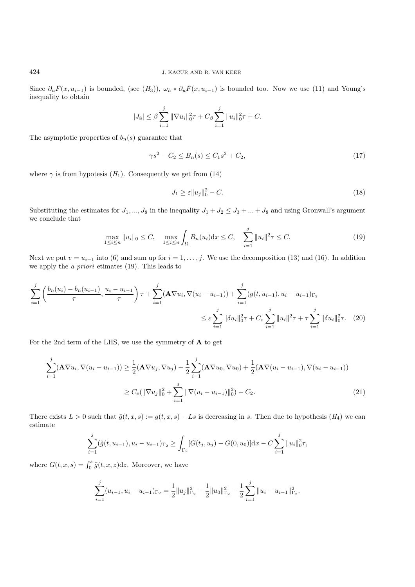Since  $\partial_u \bar{F}(x, u_{i-1})$  is bounded, (see  $(H_3)$ ),  $\omega_h * \partial_u \bar{F}(x, u_{i-1})$  is bounded too. Now we use (11) and Young's inequality to obtain

$$
|J_8| \le \beta \sum_{i=1}^j \|\nabla u_i\|_0^2 \tau + C_\beta \sum_{i=1}^j \|u_i\|_0^2 \tau + C.
$$

The asymptotic properties of  $b_n(s)$  guarantee that

$$
\gamma s^2 - C_2 \le B_n(s) \le C_1 s^2 + C_2,\tag{17}
$$

where  $\gamma$  is from hypotesis  $(H_1)$ . Consequently we get from (14)

$$
J_1 \ge \varepsilon \|u_j\|_0^2 - C. \tag{18}
$$

Substituting the estimates for  $J_1, ..., J_8$  in the inequality  $J_1 + J_2 \leq J_3 + ... + J_8$  and using Gronwall's argument we conclude that

$$
\max_{1 \le i \le n} \|u_i\|_0 \le C, \quad \max_{1 \le i \le n} \int_{\Omega} B_n(u_i) dx \le C, \quad \sum_{i=1}^j \|u_i\|^2 \tau \le C. \tag{19}
$$

Next we put  $v = u_{i-1}$  into (6) and sum up for  $i = 1, \ldots, j$ . We use the decomposition (13) and (16). In addition we apply the *a priori* etimates (19). This leads to

$$
\sum_{i=1}^{j} \left( \frac{b_n(u_i) - b_n(u_{i-1})}{\tau}, \frac{u_i - u_{i-1}}{\tau} \right) \tau + \sum_{i=1}^{j} (\mathbf{A} \nabla u_i, \nabla (u_i - u_{i-1})) + \sum_{i=1}^{j} (g(t, u_{i-1}), u_i - u_{i-1})_{\Gamma_2}
$$
\n
$$
\leq \varepsilon \sum_{i=1}^{j} ||\delta u_i||_0^2 \tau + C_{\varepsilon} \sum_{i=1}^{j} ||u_i||^2 \tau + \tau \sum_{i=1}^{j} ||\delta u_i||_0^2 \tau. \tag{20}
$$

For the 2nd term of the LHS, we use the symmetry of **A** to get

$$
\sum_{i=1}^{j} (\mathbf{A} \nabla u_i, \nabla (u_i - u_{i-1})) \ge \frac{1}{2} (\mathbf{A} \nabla u_j, \nabla u_j) - \frac{1}{2} \sum_{i=1}^{j} (\mathbf{A} \nabla u_0, \nabla u_0) + \frac{1}{2} (\mathbf{A} \nabla (u_i - u_{i-1}), \nabla (u_i - u_{i-1}))
$$
  
 
$$
\ge C_e (\|\nabla u_j\|_0^2 + \sum_{i=1}^{j} \|\nabla (u_i - u_{i-1})\|_0^2) - C_2.
$$
 (21)

There exists  $L > 0$  such that  $\tilde{g}(t, x, s) := g(t, x, s) - Ls$  is decreasing in s. Then due to hypothesis  $(H_4)$  we can estimate

$$
\sum_{i=1}^{j} (\tilde{g}(t, u_{i-1}), u_i - u_{i-1})_{\Gamma_2} \ge \int_{\Gamma_2} [G(t_j, u_j) - G(0, u_0)] \mathrm{d}x - C \sum_{i=1}^{j} ||u_i||_0^2 \tau,
$$

where  $G(t, x, s) = \int_0^s \tilde{g}(t, x, z) dz$ . Moreover, we have

$$
\sum_{i=1}^{j} (u_{i-1}, u_i - u_{i-1})_{\Gamma_2} = \frac{1}{2} ||u_j||_{\Gamma_2}^2 - \frac{1}{2} ||u_0||_{\Gamma_2}^2 - \frac{1}{2} \sum_{i=1}^{j} ||u_i - u_{i-1}||_{\Gamma_2}^2.
$$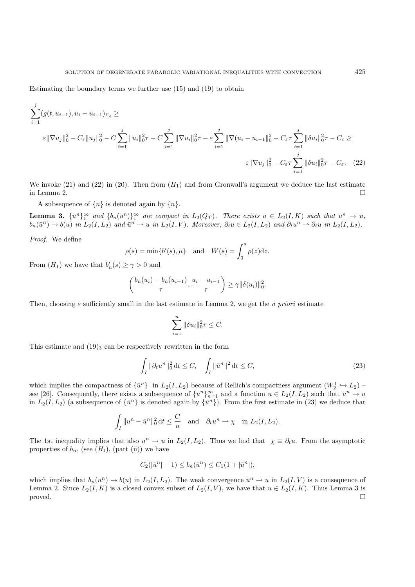$$
\sum_{i=1}^{j} (g(t, u_{i-1}), u_i - u_{i-1})_{\Gamma_2} \ge
$$
\n
$$
\varepsilon \|\nabla u_j\|_0^2 - C_{\varepsilon} \|u_j\|_0^2 - C \sum_{i=1}^{j} \|u_i\|_0^2 \tau - C \sum_{i=1}^{j} \|\nabla u_i\|_0^2 \tau - \varepsilon \sum_{i=1}^{j} \|\nabla (u_i - u_{i-1}\|_0^2 - C_{\varepsilon} \tau \sum_{i=1}^{j} \|\delta u_i\|_0^2 \tau - C_{\varepsilon} \ge
$$
\n
$$
\varepsilon \|\nabla u_j\|_0^2 - C_{\varepsilon} \tau \sum_{i=1}^{j} \|\delta u_i\|_0^2 \tau - C_{\varepsilon}.
$$
\n(22)

We invoke (21) and (22) in (20). Then from  $(H_1)$  and from Gronwall's argument we deduce the last estimate in Lemma 2. in Lemma 2.  $\Box$ 

A subsequence of  $\{n\}$  is denoted again by  $\{n\}$ .

**Lemma 3.**  $\{\bar{u}^n\}_{1}^{\infty}$  and  $\{b_n(\bar{u}^n)\}_{1}^{\infty}$  are compact in  $L_2(Q_T)$ . There exists  $u \in L_2(I, K)$  such that  $\bar{u}^n \to u$ ,  $b_n(\bar{u}^n) \to b(u)$  in  $L_2(I, L_2)$  and  $\bar{u}^n \to u$ , in  $L_2(I, V)$  Moreover,  $\partial_t u \in L_2(I, L_$  $b_n(\bar{u}^n) \to b(u)$  *in*  $L_2(I, L_2)$  *and*  $\bar{u}^n \to u$  *in*  $L_2(I, V)$ *. Moreover,*  $\partial_t u \in L_2(I, L_2)$  *and*  $\partial_t u^n \to \partial_t u$  *in*  $L_2(I, L_2)$ *.* 

*Proof.* We define

$$
\rho(s) = \min\{b'(s), \mu\} \quad \text{and} \quad W(s) = \int_0^s \rho(z) \mathrm{d}z.
$$

From  $(H_1)$  we have that  $b'_n(s) \geq \gamma > 0$  and

$$
\left(\frac{b_n(u_i)-b_n(u_{i-1})}{\tau}, \frac{u_i-u_{i-1}}{\tau}\right) \geq \gamma \|\delta(u_i)\|_0^2.
$$

Then, choosing  $\varepsilon$  sufficiently small in the last estimate in Lemma 2, we get the *a priori* estimate

$$
\sum_{i=1}^{n} \|\delta u_i\|_0^2 \tau \leq C.
$$

This estimate and  $(19)_3$  can be respectively rewritten in the form

$$
\int_{I} \|\partial_t u^n\|_0^2 dt \le C, \quad \int_{I} \|\bar{u}^n\|^2 dt \le C,
$$
\n(23)

which implies the compactness of  $\{\bar{u}^n\}$  in  $L_2(I, L_2)$  because of Rellich's compactness argument  $(W_2^1 \hookrightarrow L_2)$  –<br>see [26] Consequently, there exists a subsequence of  $L_n^{\bar{n}} \times \mathbb{R}$  and a function  $u \in L_2(I, L_2)$  see [26]. Consequently, there exists a subsequence of  $\{\bar{u}^n\}_{n=1}^{\infty}$  and a function  $u \in L_2(I, L_2)$  such that  $\bar{u}^n \to u$ <br>in  $L_2(I, L_2)$  (a subsequence of  $L_2(I, \bar{u}^n)$  is denoted again by  $\{u^{n+1}\}\$  From the fi in  $L_2(I,L_2)$  (a subsequence of  $\{\bar{u}^n\}$  is denoted again by  $\{\bar{u}^n\}$ ). From the first estimate in (23) we deduce that

$$
\int_I \|u^n - \bar{u}^n\|_0^2 dt \le \frac{C}{n} \quad \text{and} \quad \partial_t u^n \to \chi \quad \text{in } L_2(I, L_2).
$$

The 1st inequality implies that also  $u^n \to u$  in  $L_2(I,L_2)$ . Thus we find that  $\chi \equiv \partial_t u$ . From the asymptotic properties of  $b_n$ , (see  $(H_1)$ , (part (ii)) we have

$$
C_2(|\bar{u}^n|-1) \le b_n(\bar{u}^n) \le C_1(1+|\bar{u}^n|),
$$

which implies that  $b_n(\bar{u}^n) \to b(u)$  in  $L_2(I, L_2)$ . The weak convergence  $\bar{u}^n \to u$  in  $L_2(I, V)$  is a consequence of Lemma 2. Since  $L_2(I, K)$  is a closed convex subset of  $L_2(I, V)$ , we have that  $u \in L_2(I, K)$ . Thus Lemma 3 is proved. proved.  $\square$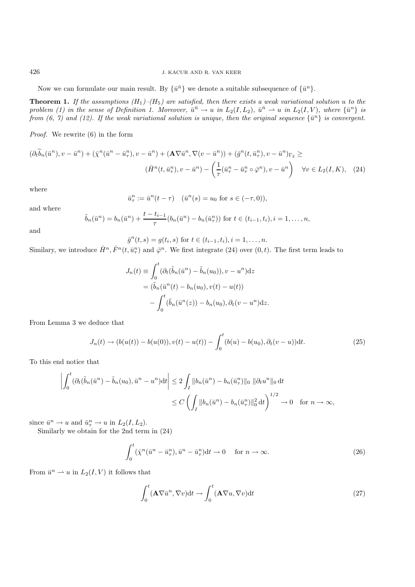Now we can formulate our main result. By  $\{\bar{u}^{\bar{n}}\}$  we denote a suitable subsequence of  $\{\bar{u}^{\bar{n}}\}$ .

**Theorem 1.** If the assumptions  $(H_1)$ – $(H_5)$  are satisfied, then there exists a weak variational solution  $u$  to the *problem (1) in the sense of Definition 1. Moreover,*  $\bar{u}^{\bar{n}} \to u$  *in*  $L_2(I, L_2)$ ,  $\bar{u}^{\bar{n}} \to u$  *in*  $L_2(I, V)$ *, where*  $\{\bar{u}^{\bar{n}}\}$  *is from (6, 7) and (12). If the weak variational solution is unique, then the original sequence*  $\{\bar{u}^n\}$  *is convergent.* 

*Proof.* We rewrite (6) in the form

$$
(\partial_t \widetilde{b}_n(\bar{u}^n), v - \bar{u}^n) + (\bar{\chi}^n(\bar{u}^n - \bar{u}^n), v - \bar{u}^n) + (\mathbf{A} \nabla \bar{u}^n, \nabla (v - \bar{u}^n)) + (\bar{g}^n(t, \bar{u}^n), v - \bar{u}^n)_{\Gamma_2} \ge
$$
  

$$
(\bar{H}^n(t, \bar{u}^n), v - \bar{u}^n) - \left(\frac{1}{\tau}(\bar{u}^n, -\bar{u}^n, \circ \bar{\varphi}^n), v - \bar{u}^n\right) \quad \forall v \in L_2(I, K), \quad (24)
$$

where

$$
\bar{u}^n_\tau := \bar{u}^n(t - \tau) \quad (\bar{u}^n(s) = u_0 \text{ for } s \in (-\tau, 0)),
$$

and where

$$
\tilde{b}_n(\bar{u}^n) = b_n(\bar{u}^n) + \frac{t - t_{i-1}}{\tau} (b_n(\bar{u}^n) - b_n(\bar{u}^n)) \text{ for } t \in (t_{i-1}, t_i), i = 1, ..., n,
$$

and

 $\bar{g}^n(t,s) = g(t_i,s)$  for  $t \in (t_{i-1}, t_i), i = 1, \ldots, n$ .

Similary, we introduce  $\bar{H}^n$ ,  $\bar{F}^n(t, \bar{u}^n_\tau)$  and  $\bar{\varphi}^n$ . We first integrate (24) over  $(0, t)$ . The first term leads to

$$
J_n(t) \equiv \int_0^t (\partial_t(\tilde{b}_n(\bar{u}^n) - \tilde{b}_n(u_0)), v - u^n) \, dz
$$
  
=  $(\tilde{b}_n(\bar{u}^n(t) - b_n(u_0), v(t) - u(t))$   
 $- \int_0^t (\tilde{b}_n(\bar{u}^n(z)) - b_n(u_0), \partial_t(v - u^n) \, dz).$ 

From Lemma 3 we deduce that

$$
J_n(t) \to (b(u(t)) - b(u(0)), v(t) - u(t)) - \int_0^t (b(u) - b(u_0), \partial_t (v - u)) \mathrm{d}t. \tag{25}
$$

To this end notice that

$$
\left| \int_0^t (\partial_t (\tilde{b}_n(\bar{u}^n) - \tilde{b}_n(u_0), \bar{u}^n - u^n) dt \right| \le 2 \int_I \|b_n(\bar{u}^n) - b_n(\bar{u}^n_\tau)\|_0 \|\partial_t u^n\|_0 dt
$$
  

$$
\le C \left( \int_I \|b_n(\bar{u}^n) - b_n(\bar{u}^n_\tau)\|_0^2 dt \right)^{1/2} \to 0 \quad \text{for } n \to \infty,
$$

since  $\bar{u}^n \to u$  and  $\bar{u}^n \to u$  in  $L_2(I, L_2)$ .<br>Similarly we obtain for the 2nd term

Similarly we obtain for the 2nd term in (24)

$$
\int_0^t (\bar{\chi}^n(\bar{u}^n - \bar{u}^n_\tau), \bar{u}^n - \bar{u}^n_\tau) dt \to 0 \quad \text{for } n \to \infty.
$$
 (26)

From  $\bar{u}^n \rightharpoonup u$  in  $L_2(I, V)$  it follows that

$$
\int_0^t (\mathbf{A} \nabla \bar{u}^n, \nabla v) dt \to \int_0^t (\mathbf{A} \nabla u, \nabla v) dt
$$
\n(27)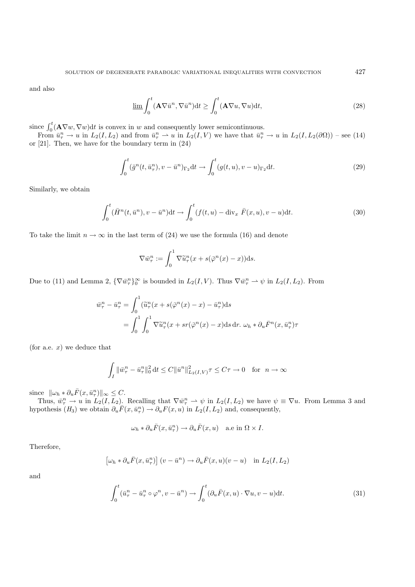and also

$$
\underline{\lim} \int_0^t (\mathbf{A} \nabla \bar{u}^n, \nabla \bar{u}^n) dt \ge \int_0^t (\mathbf{A} \nabla u, \nabla u) dt,
$$
\n(28)

since  $\int_0^t (\mathbf{A} \nabla w, \nabla w) dt$  is convex in w and consequently lower semicontinuous.<br>From  $\bar{w}^n \to u$  in  $L_2(I, L_2)$  and from  $\bar{w}^n \to u$  in  $L_2(I, V)$  we have that  $\bar{w}^n$ .

From  $\bar{u}_\tau^n \to u$  in  $L_2(I, L_2)$  and from  $\bar{u}_\tau^n \to u$  in  $L_2(I, V)$  we have that  $\bar{u}_\tau^n \to u$  in  $L_2(I, L_2(\partial \Omega))$  – see (14) or [21]. Then, we have for the boundary term in (24)

$$
\int_0^t (\bar{g}^n(t, \bar{u}^n_\tau), v - \bar{u}^n)_{\Gamma_2} dt \to \int_0^t (g(t, u), v - u)_{\Gamma_2} dt.
$$
 (29)

Similarly, we obtain

$$
\int_0^t (\bar{H}^n(t, \bar{u}^n), v - \bar{u}^n) dt \to \int_0^t (f(t, u) - \text{div}_x \ \bar{F}(x, u), v - u) dt.
$$
 (30)

To take the limit  $n \to \infty$  in the last term of (24) we use the formula (16) and denote

$$
\nabla \bar{w}_{\tau}^{n} := \int_{0}^{1} \nabla \widetilde{u}_{\tau}^{n}(x + s(\bar{\varphi}^{n}(x) - x)) \mathrm{d}s.
$$

Due to (11) and Lemma 2,  $\{\nabla \bar{w}_{\tau}^n\}_{0}^{\infty}$  is bounded in  $L_2(I, V)$ . Thus  $\nabla \bar{w}_{\tau}^n \rightharpoonup \psi$  in  $L_2(I, L_2)$ . From

$$
\bar{w}_{\tau}^{n} - \bar{u}_{\tau}^{n} = \int_{0}^{1} (\tilde{u}_{\tau}^{n}(x + s(\bar{\varphi}^{n}(x) - x) - \bar{u}_{\tau}^{n})ds
$$

$$
= \int_{0}^{1} \int_{0}^{1} \nabla \tilde{u}_{\tau}^{n}(x + sr(\bar{\varphi}^{n}(x) - x)ds dr. \ \omega_{h} * \partial_{u} \bar{F}^{n}(x, \bar{u}_{\tau}^{n})\tau
$$

(for a.e.  $x$ ) we deduce that

$$
\int_I \|\bar w_\tau^n - \bar u_\tau^n\|_0^2 \, \mathrm{d} t \leq C \|\bar u^n\|_{L_2(I,V)}^2 \tau \leq C\tau \to 0 \quad \text{for }\ n\to\infty
$$

since  $\|\omega_h * \partial_u \bar{F}(x, \bar{u}_\tau^n)\|_\infty \leq C$ .<br>Thus  $\bar{w}^n \to u$  in  $L_2(I, L_2)$ .

Thus,  $\bar{w}_\tau^n \to u$  in  $L_2(I, L_2)$ . Recalling that  $\nabla \bar{w}_\tau^n \to \psi$  in  $L_2(I, L_2)$  we have  $\psi \equiv \nabla u$ . From Lemma 3 and pothesis  $(H_2)$  we obtain  $\partial \bar{F}(x, \bar{w}_\tau^n) \to \partial F(x, y)$  in  $L_2(I, L_2)$  and consequently hypothesis  $(H_3)$  we obtain  $\partial_u \overline{F}(x, \overline{u}_\tau^n) \to \partial_u F(x, u)$  in  $L_2(I, L_2)$  and, consequently,

$$
\omega_h * \partial_u \overline{F}(x, \overline{u}_\tau^n) \to \partial_u \overline{F}(x, u)
$$
 a.e in  $\Omega \times I$ .

Therefore,

$$
\left[\omega_h * \partial_u \bar{F}(x, \bar{u}^n_\tau)\right](v - \bar{u}^n) \to \partial_u \bar{F}(x, u)(v - u) \quad \text{in } L_2(I, L_2)
$$

and

$$
\int_0^t (\bar{u}_\tau^n - \bar{u}_\tau^n \circ \varphi^n, v - \bar{u}^n) \to \int_0^t (\partial_u \bar{F}(x, u) \cdot \nabla u, v - u) dt.
$$
\n(31)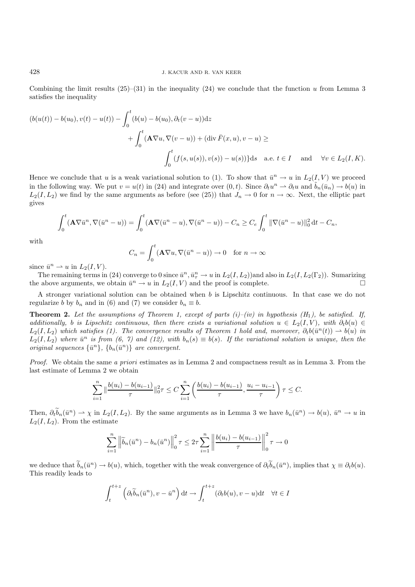Combining the limit results  $(25)-(31)$  in the inequality  $(24)$  we conclude that the function u from Lemma 3 satisfies the inequality

$$
(b(u(t)) - b(u_0), v(t) - u(t)) - \int_0^t (b(u) - b(u_0), \partial_t (v - u)) dz
$$
  
+ 
$$
\int_0^t (\mathbf{A} \nabla u, \nabla (v - u)) + (\text{div } \overline{F}(x, u), v - u) \ge
$$
  

$$
\int_0^t (f(s, u(s)), v(s)) - u(s)) ds \quad \text{a.e. } t \in I \quad \text{and} \quad \forall v \in L_2(I, K).
$$

Hence we conclude that u is a weak variational solution to (1). To show that  $\bar{u}^n \to u$  in  $L_2(I, V)$  we proceed in the following way. We put  $v = u(t)$  in (24) and integrate over  $(0, t)$ . Since  $\partial_t u^n \rightharpoonup \partial_t u$  and  $\tilde{b}_n(\bar{u}_n) \to b(u)$  in  $L_2(I, L_2)$  we find by the same arguments as before (see (25)) that  $J_n \to 0$  for  $n \to \infty$ . Next, the elliptic part gives

$$
\int_0^t (\mathbf{A} \nabla \bar{u}^n, \nabla (\bar{u}^n - u)) = \int_0^t (\mathbf{A} \nabla (\bar{u}^n - u), \nabla (\bar{u}^n - u)) - C_n \ge C_e \int_0^t \|\nabla (\bar{u}^n - u)\|_0^2 dt - C_n,
$$

with

$$
C_n = \int_0^t (\mathbf{A} \nabla u, \nabla (\bar{u}^n - u)) \to 0 \quad \text{for } n \to \infty
$$

since  $\bar{u}^n \rightharpoonup u$  in  $L_2(I, V)$ .

The remaining terms in (24) converge to 0 since  $\bar{u}^n, \bar{u}^n \to u$  in  $L_2(I, L_2(I, L_2)(I_2))$ . Sumarizing<br>the proof is complete the above arguments, we obtain  $\bar{u}^n \to u$  in  $L_2(I, V)$  and the proof is complete.

A stronger variational solution can be obtained when b is Lipschitz continuous. In that case we do not regularize b by  $b_n$  and in (6) and (7) we consider  $b_n \equiv b$ .

**Theorem 2.** Let the assumptions of Theorem 1, except of parts  $(i)$ –(iv) in hypothesis  $(H_1)$ , be satisfied. If, *additionally, b is Lipschitz continuous, then there exists a variational solution*  $u \in L_2(I, V)$ *, with*  $\partial_t b(u) \in$  $L_2(I,L_2)$  which satisfies (1). The convergence results of Theorem 1 hold and, moreover,  $\partial_t b(\bar{u}^n(t)) \rightharpoonup b(u)$  in  $L_2(I,L_2)$  where  $\bar{u}^n$  is from (6, 7) and (12), with  $b_n(s) \equiv b(s)$ . If the variational solution is unique, then the *original sequences*  $\{\bar{u}^n\}$ ,  $\{b_n(\bar{u}^n)\}$  *are convergent.* 

*Proof.* We obtain the same *a priori* estimates as in Lemma 2 and compactness result as in Lemma 3. From the last estimate of Lemma 2 we obtain

$$
\sum_{i=1}^n \|\frac{b(u_i) - b(u_{i-1})}{\tau}\|_0^2 \tau \le C \sum_{i=1}^n \left(\frac{b(u_i) - b(u_{i-1})}{\tau}, \frac{u_i - u_{i-1}}{\tau}\right) \tau \le C.
$$

Then,  $\partial_t \tilde{b}_n(\bar{u}^n) \rightharpoonup \chi$  in  $L_2(I, L_2)$ . By the same arguments as in Lemma 3 we have  $b_n(\bar{u}^n) \rightharpoonup b(u)$ ,  $\bar{u}^n \rightharpoonup u$  in  $L_2(I, L_2)$ . From the estimate  $L_2(I, L_2)$ . From the estimate

$$
\sum_{i=1}^{n} \left\| \widetilde{b}_n(\bar{u}^n) - b_n(\bar{u}^n) \right\|_0^2 \tau \le 2\tau \sum_{i=1}^{n} \left\| \frac{b(u_i) - b(u_{i-1})}{\tau} \right\|_0^2 \tau \to 0
$$

we deduce that  $b_n(\bar{u}^n) \to b(u)$ , which, together with the weak convergence of  $\partial_t \bar{b}_n(\bar{u}^n)$ , implies that  $\chi \equiv \partial_t b(u)$ .<br>This readily leads to This readily leads to

$$
\int_{t}^{t+z} \left( \partial_t \tilde{b}_n(\bar{u}^n), v - \bar{u}^n \right) dt \to \int_{t}^{t+z} (\partial_t b(u), v - u) dt \quad \forall t \in I
$$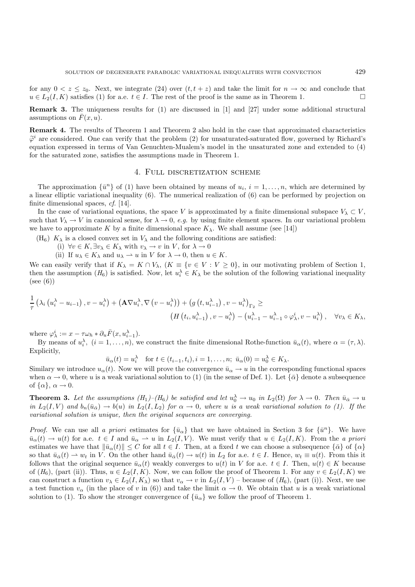for any  $0 < z \le z_0$ . Next, we integrate (24) over  $(t, t + z)$  and take the limit for  $n \to \infty$  and conclude that  $u \in L_2(I, K)$  satisfies (1) for a e  $t \in I$ . The rest of the proof is the same as in Theorem 1  $u \in L_2(I, K)$  satisfies (1) for a.e.  $t \in I$ . The rest of the proof is the same as in Theorem 1.

**Remark 3.** The uniqueness results for (1) are discussed in [1] and [27] under some additional structural assumptions on  $\bar{F}(x, u)$ .

**Remark 4.** The results of Theorem 1 and Theorem 2 also hold in the case that approximated characteristics  $\varphi$  are considered. One can verify that the problem  $\langle z \rangle$  for disaturated-saturated now, governed by rieflard's equation expressed in terms of Van Genuchten-Mualem's model in the unsaturated zone and extended to  $(4)$  $\tilde{\varphi}^i$  are considered. One can verify that the problem (2) for unsaturated-saturated flow, governed by Richard's for the saturated zone, satisfies the assumptions made in Theorem 1.

#### 4. Full discretization scheme

The approximation  $\{\bar{u}^n\}$  of (1) have been obtained by means of  $u_i$ ,  $i = 1, \ldots, n$ , which are determined by a linear elliptic variational inequality (6). The numerical realization of (6) can be performed by projection on finite dimensional spaces, *cf.* [14].

In the case of variational equations, the space V is approximated by a finite dimensional subspace  $V_\lambda \subset V$ , such that  $V_{\lambda} \to V$  in canonical sense, for  $\lambda \to 0$ , *e.g.* by using finite element spaces. In our variational problem we have to approximate K by a finite dimensional space  $K_{\lambda}$ . We shall assume (see [14])

(H<sub>6</sub>)  $K_{\lambda}$  is a closed convex set in  $V_{\lambda}$  and the following conditions are satisfied:

- (i)  $\forall v \in K, \exists v_\lambda \in K_\lambda \text{ with } v_\lambda \to v \text{ in } V, \text{ for } \lambda \to 0$
- (ii) If  $u_{\lambda} \in K_{\lambda}$  and  $u_{\lambda} \to u$  in V for  $\lambda \to 0$ , then  $u \in K$ .

We can easily verify that if  $K_{\lambda} = K \cap V_{\lambda}$ ,  $(K \equiv \{v \in V : V \geq 0\})$ , in our motivating problem of Section 1, then the assumption  $(H_6)$  is satisfied. Now, let  $u_i^{\lambda} \in K_{\lambda}$  be the solution of the following variational inequality  $(see (6))$ 

$$
\frac{1}{\tau} \left( \lambda_i \left( u_i^{\lambda} - u_{i-1} \right), v - u_i^{\lambda} \right) + \left( \mathbf{A} \nabla u_i^{\lambda}, \nabla \left( v - u_i^{\lambda} \right) \right) + \left( g \left( t, u_{i-1}^{\lambda} \right), v - u_i^{\lambda} \right)_{\Gamma_2} \ge \n\left( H \left( t_i, u_{i-1}^{\lambda} \right), v - u_i^{\lambda} \right) - \left( u_{i-1}^{\lambda} - u_{i-1}^{\lambda} \circ \varphi_{\lambda}^i, v - u_i^{\lambda} \right), \quad \forall v_{\lambda} \in K_{\lambda},
$$

where  $\varphi_{\lambda}^{i} := x - \tau \omega_{h} * \partial_{u} \bar{F}(x, u_{i-1}^{\lambda}).$ <br>By means of  $u^{\lambda}$   $(i-1, n)$ , where

By means of  $u_i^{\lambda}$ ,  $(i = 1, ..., n)$ , we construct the finite dimensional Rothe-function  $\bar{u}_{\alpha}(t)$ , where  $\alpha = (\tau, \lambda)$ . Explicitly,

$$
\bar{u}_{\alpha}(t) = u_{\alpha}^{\lambda} \quad \text{for } t \in (t_{i-1}, t_i), i = 1, \dots, n; \ \bar{u}_{\alpha}(0) = u_0^{\lambda} \in K_{\lambda}.
$$

Similary we introduce  $u_{\alpha}(t)$ . Now we will prove the convergence  $\bar{u}_{\alpha} \to u$  in the corresponding functional spaces when  $\alpha \to 0$  where u is a weak variational solution to (1) (in the sense of Def. 1). Let  $L\bar{\alpha}$  de when  $\alpha \to 0$ , where u is a weak variational solution to (1) (in the sense of Def. 1). Let  $\{\bar{\alpha}\}$  denote a subsequence of  $\{\alpha\}, \alpha \to 0$ .

**Theorem 3.** Let the assumptions  $(H_1)$ – $(H_6)$  be satisfied and let  $u_0^{\lambda} \to u_0$  in  $L_2(\Omega)$  for  $\lambda \to 0$ . Then  $\bar{u}_{\bar{\alpha}} \to u$ <br>in Le(LV) and h  $(\bar{u}_{\alpha}) \to h(u)$  in Le(LLe) for  $\alpha \to 0$  where u is a weak variational solut *in*  $L_2(I, V)$  *and*  $b_n(\bar{u}_{\bar{\alpha}}) \rightarrow b(u)$  *in*  $L_2(I, L_2)$  *for*  $\alpha \rightarrow 0$ *, where u is a weak variational solution to (1). If the variational solution is unique, then the original sequences are converging.*

*Proof.* We can use all *a priori* estimates for  ${\bar{u}_{\alpha}}$  that we have obtained in Section 3 for  ${\bar{u}^n}$ . We have  $\bar{u}_{\alpha}(t) \to u(t)$  for a.e.  $t \in I$  and  $\bar{u}_{\alpha} \to u$  in  $L_2(I, V)$ . We must verify that  $u \in L_2(I, K)$ . From the *a priori* estimates we have that  $\|\bar{u}_\alpha(t)\| \leq C$  for all  $t \in I$ . Then, at a fixed t we can choose a subsequence  $\{\bar{\alpha}\}\$  of  $\{\alpha\}$ so that  $\bar{u}_{\bar{\alpha}}(t) \rightharpoonup w_t$  in V. On the other hand  $\bar{u}_{\bar{\alpha}}(t) \rightharpoonup u(t)$  in  $L_2$  for a.e.  $t \in I$ . Hence,  $w_t \equiv u(t)$ . From this it follows that the original sequence  $\bar{u}_{\alpha}(t)$  weakly converges to  $u(t)$  in V for a.e.  $t \in I$ . Then,  $u(t) \in K$  because of  $(H_6)$ , (part (ii)). Thus,  $u \in L_2(I, K)$ . Now, we can follow the proof of Theorem 1. For any  $v \in L_2(I, K)$  we can construct a function  $v_{\lambda} \in L_2(I, K_{\lambda})$  so that  $v_{\alpha} \to v$  in  $L_2(I, V)$  – because of  $(H_6)$ , (part (i)). Next, we use a test function  $v_{\alpha}$  (in the place of v in (6)) and take the limit  $\alpha \to 0$ . We obtain that u is a weak variational solution to (1). To show the stronger convergence of  $\{\bar{u}_{\alpha}\}\$  we follow the proof of Theorem 1.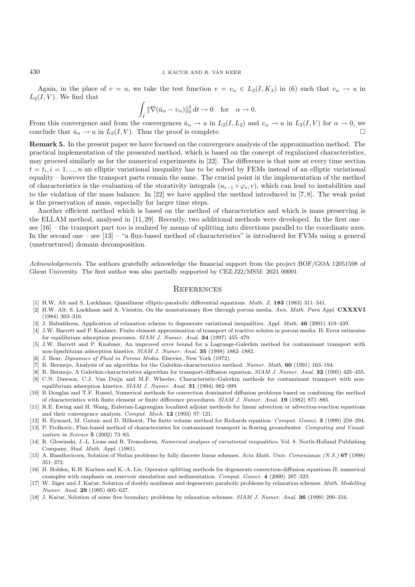Again, in the place of  $v = u$ , we take the test function  $v = v_\alpha \in L_2(I, K_\lambda)$  in (6) such that  $v_\alpha \to u$  in  $L_2(I, V)$ . We find that

$$
\int_I \|\nabla (\bar{u}_\alpha - v_\alpha)\|_0^2 dt \to 0 \quad \text{for} \quad \alpha \to 0.
$$

From this convergence and from the convergences  $\bar{u}_{\alpha} \to u$  in  $L_2(I, L_2)$  and  $v_{\alpha} \to u$  in  $L_2(I, V)$  for  $\alpha \to 0$ , we conclude that  $\bar{u}_{\alpha} \to u$  in  $L_2(I, V)$ . Thus the proof is complete conclude that  $\bar{u}_{\alpha} \to u$  in  $L_2(I, V)$ . Thus the proof is complete.

**Remark 5.** In the present paper we have focused on the convergence analysis of the approximation method. The practical implementation of the presented method, which is based on the concept of regularized characteristics, may proceed similarly as for the numerical experiments in [22]. The difference is that now at every time section  $t = t_i, i = 1, ..., n$  an elliptic variational inequality has to be solved by FEMs instead of an elliptic variational equality – however the transport parts remain the same. The crucial point in the implementation of the method of characteristics is the evaluation of the storativity integrals  $(u_{i-1} \circ \varphi_i, v)$ , which can lead to instabilities and to the violation of the mass balance. In [22] we have applied the method introduced in [7, 8]. The weak point is the preservation of mass, especially for larger time steps.

Another efficient method which is based on the method of characteristics and which is mass preserving is the ELLAM method, analysed in [11, 29]. Recently, two additional methods were developed. In the first one – see [16] – the transport part too is realized by means of splitting into directions parallel to the coordinate axes. In the second one – see [13] – "a flux-based method of characteristics" is introduced for FVMs using a general (unstructured) domain decomposition.

*Acknowledgements*. The authors gratefully acknowledge the financial support from the project BOF/GOA 12051598 of Ghent University. The first author was also partially supported by CEZ:J22/MSM: 2621 00001.

## **REFERENCES**

- [1] H.W. Alt and S. Luckhaus, Quasilinear elliptic-parabolic differential equations. *Math. Z.* **183** (1983) 311–341.
- [2] H.W. Alt, S. Luckhaus and A. Visintin, On the nonstationary flow through porous media. *Ann. Math. Pura Appl.* **CXXXVI** (1984) 303–316.
- [3] J. Babušikova, Application of relaxation scheme to degenerate variational inequalities. *Appl. Math.* **46** (2001) 419–439.
- [4] J.W. Barrett and P. Knabner, Finite element approximation of transport of reactive solutes in porous media. II: Error estimates for equilibrium adsorption processes. *SIAM J. Numer. Anal.* **34** (1997) 455–479.
- [5] J.W. Barrett and P. Knabner, An improved error bound for a Lagrange-Galerkin method for contaminant transport with non-lipschitzian adsorption kinetics. *SIAM J. Numer. Anal.* **35** (1998) 1862–1882.
- [6] J. Bear, *Dynamics of Fluid in Porous Media*. Elsevier, New York (1972).
- [7] R. Bermejo, Analysis of an algorithm for the Galerkin-characteristics method. *Numer. Math.* **60** (1991) 163–194.
- [8] R. Bermejo, A Galerkin-characteristics algorithm for transport-diffusion equation. *SIAM J. Numer. Anal.* **32** (1995) 425–455.
- [9] C.N. Dawson, C.J. Van Duijn and M.F. Wheeler, Characteristic-Galerkin methods for contaminant transport with nonequilibrium adsorption kinetics. *SIAM J. Numer. Anal.* **31** (1994) 982–999.
- [10] R Douglas and T.F. Russel, Numerical methods for convection dominated diffusion problems based on combining the method of characteristics with finite element or finite difference procedures. *SIAM J. Numer. Anal.* **19** (1982) 871–885.
- [11] R.E. Ewing and H. Wang, Eulerian-Lagrangian localized adjoint methods for linear advection or advection-reaction equations and their convergence analysis. *Comput. Mech.* **12** (1993) 97–121.
- [12] R. Eymard, M. Gutnic and D. Hilhorst, The finite volume method for Richards equation. *Comput. Geosci.* **3** (1999) 259–294.
- [13] P. Frolkovic, Flux-based method of characteristics for contaminant transport in flowing groundwater. *Computing and Visualization in Science* **5** (2002) 73–83.
- [14] R. Glowinski, J.-L. Lions and R. Tremolieres, *Numerical analysis of variational inequalities*, Vol. 8. North-Holland Publishing Company, *Stud. Math. Appl.* (1981).
- [15] A. Handlovicova, Solution of Stefan problems by fully discrete linear schemes. *Acta Math. Univ. Comenianae (N.S.)* **67** (1998) 351–372.
- [16] H. Holden, K.H. Karlsen and K.-A. Lie, Operator splitting methods for degenerate convection-diffusion equations II: numerical examples with emphasis on reservoir simulation and sedimentation. *Comput. Geosci.* **4** (2000) 287–323.
- [17] W. Jäger and J. Kačur, Solution of doubly nonlinear and degenerate parabolic problems by relaxation schemes. Math. Modelling *Numer. Anal.* **29** (1995) 605–627.
- [18] J. Kaˇcur, Solution of some free boundary problems by relaxation schemes. *SIAM J. Numer. Anal.* **36** (1999) 290–316.